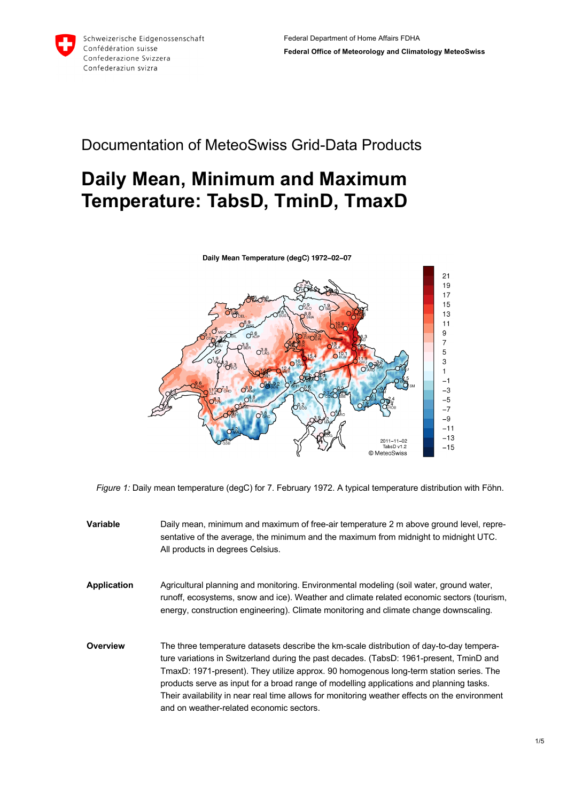

## Documentation of MeteoSwiss Grid-Data Products

# **Daily Mean, Minimum and Maximum Temperature: TabsD, TminD, TmaxD**



*Figure 1:* Daily mean temperature (degC) for 7. February 1972. A typical temperature distribution with Föhn.

- **Variable** Daily mean, minimum and maximum of free-air temperature 2 m above ground level, representative of the average, the minimum and the maximum from midnight to midnight UTC. All products in degrees Celsius.
- **Application** Agricultural planning and monitoring. Environmental modeling (soil water, ground water, runoff, ecosystems, snow and ice). Weather and climate related economic sectors (tourism, energy, construction engineering). Climate monitoring and climate change downscaling.
- **Overview** The three temperature datasets describe the km-scale distribution of day-to-day temperature variations in Switzerland during the past decades. (TabsD: 1961-present, TminD and TmaxD: 1971-present). They utilize approx. 90 homogenous long-term station series. The products serve as input for a broad range of modelling applications and planning tasks. Their availability in near real time allows for monitoring weather effects on the environment and on weather-related economic sectors.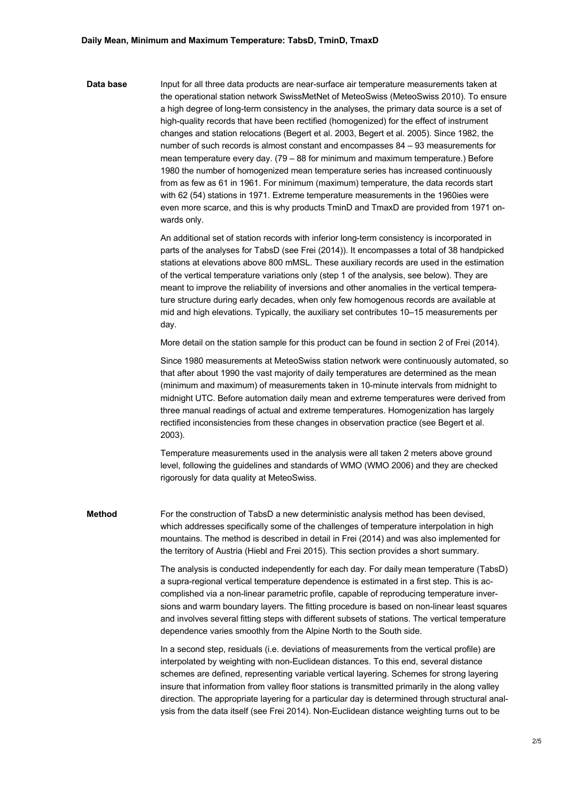Data base **Input for all three data products are near-surface air temperature measurements taken at** the operational station network SwissMetNet of MeteoSwiss (MeteoSwiss 2010). To ensure a high degree of long-term consistency in the analyses, the primary data source is a set of high-quality records that have been rectified (homogenized) for the effect of instrument changes and station relocations (Begert et al. 2003, Begert et al. 2005). Since 1982, the number of such records is almost constant and encompasses 84 – 93 measurements for mean temperature every day. (79 – 88 for minimum and maximum temperature.) Before 1980 the number of homogenized mean temperature series has increased continuously from as few as 61 in 1961. For minimum (maximum) temperature, the data records start with 62 (54) stations in 1971. Extreme temperature measurements in the 1960ies were even more scarce, and this is why products TminD and TmaxD are provided from 1971 onwards only.

> An additional set of station records with inferior long-term consistency is incorporated in parts of the analyses for TabsD (see Frei (2014)). It encompasses a total of 38 handpicked stations at elevations above 800 mMSL. These auxiliary records are used in the estimation of the vertical temperature variations only (step 1 of the analysis, see below). They are meant to improve the reliability of inversions and other anomalies in the vertical temperature structure during early decades, when only few homogenous records are available at mid and high elevations. Typically, the auxiliary set contributes 10–15 measurements per day.

More detail on the station sample for this product can be found in section 2 of Frei (2014).

Since 1980 measurements at MeteoSwiss station network were continuously automated, so that after about 1990 the vast majority of daily temperatures are determined as the mean (minimum and maximum) of measurements taken in 10-minute intervals from midnight to midnight UTC. Before automation daily mean and extreme temperatures were derived from three manual readings of actual and extreme temperatures. Homogenization has largely rectified inconsistencies from these changes in observation practice (see Begert et al. 2003).

Temperature measurements used in the analysis were all taken 2 meters above ground level, following the guidelines and standards of WMO (WMO 2006) and they are checked rigorously for data quality at MeteoSwiss.

**Method** For the construction of TabsD a new deterministic analysis method has been devised, which addresses specifically some of the challenges of temperature interpolation in high mountains. The method is described in detail in Frei (2014) and was also implemented for the territory of Austria (Hiebl and Frei 2015). This section provides a short summary.

> The analysis is conducted independently for each day. For daily mean temperature (TabsD) a supra-regional vertical temperature dependence is estimated in a first step. This is accomplished via a non-linear parametric profile, capable of reproducing temperature inversions and warm boundary layers. The fitting procedure is based on non-linear least squares and involves several fitting steps with different subsets of stations. The vertical temperature dependence varies smoothly from the Alpine North to the South side.

> In a second step, residuals (i.e. deviations of measurements from the vertical profile) are interpolated by weighting with non-Euclidean distances. To this end, several distance schemes are defined, representing variable vertical layering. Schemes for strong layering insure that information from valley floor stations is transmitted primarily in the along valley direction. The appropriate layering for a particular day is determined through structural analysis from the data itself (see Frei 2014). Non-Euclidean distance weighting turns out to be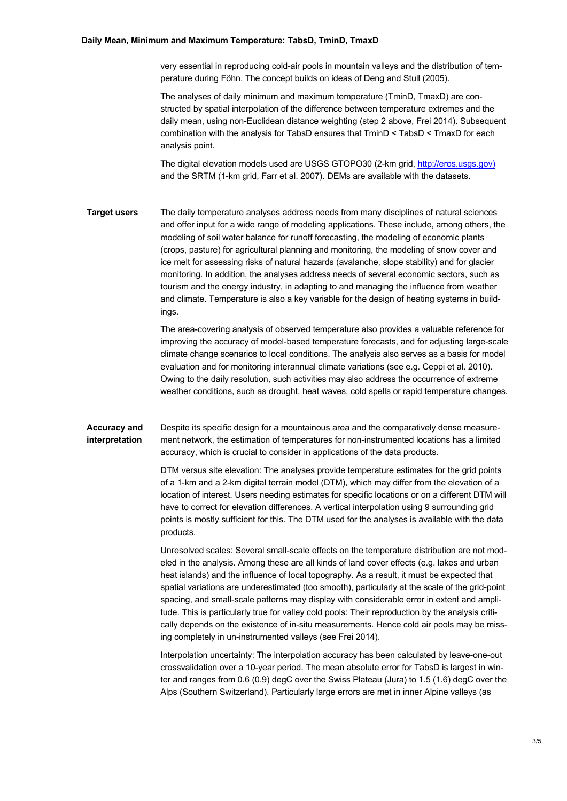#### **Daily Mean, Minimum and Maximum Temperature: TabsD, TminD, TmaxD**

very essential in reproducing cold-air pools in mountain valleys and the distribution of temperature during Föhn. The concept builds on ideas of Deng and Stull (2005).

The analyses of daily minimum and maximum temperature (TminD, TmaxD) are constructed by spatial interpolation of the difference between temperature extremes and the daily mean, using non-Euclidean distance weighting (step 2 above, Frei 2014). Subsequent combination with the analysis for TabsD ensures that TminD < TabsD < TmaxD for each analysis point.

The digital elevation models used are USGS GTOPO30 (2-km grid, http://eros.usgs.gov) and the SRTM (1-km grid, Farr et al. 2007). DEMs are available with the datasets.

**Target users** The daily temperature analyses address needs from many disciplines of natural sciences and offer input for a wide range of modeling applications. These include, among others, the modeling of soil water balance for runoff forecasting, the modeling of economic plants (crops, pasture) for agricultural planning and monitoring, the modeling of snow cover and ice melt for assessing risks of natural hazards (avalanche, slope stability) and for glacier monitoring. In addition, the analyses address needs of several economic sectors, such as tourism and the energy industry, in adapting to and managing the influence from weather and climate. Temperature is also a key variable for the design of heating systems in buildings.

> The area-covering analysis of observed temperature also provides a valuable reference for improving the accuracy of model-based temperature forecasts, and for adjusting large-scale climate change scenarios to local conditions. The analysis also serves as a basis for model evaluation and for monitoring interannual climate variations (see e.g. Ceppi et al. 2010). Owing to the daily resolution, such activities may also address the occurrence of extreme weather conditions, such as drought, heat waves, cold spells or rapid temperature changes.

**Accuracy and interpretation** Despite its specific design for a mountainous area and the comparatively dense measurement network, the estimation of temperatures for non-instrumented locations has a limited accuracy, which is crucial to consider in applications of the data products.

> DTM versus site elevation: The analyses provide temperature estimates for the grid points of a 1-km and a 2-km digital terrain model (DTM), which may differ from the elevation of a location of interest. Users needing estimates for specific locations or on a different DTM will have to correct for elevation differences. A vertical interpolation using 9 surrounding grid points is mostly sufficient for this. The DTM used for the analyses is available with the data products.

> Unresolved scales: Several small-scale effects on the temperature distribution are not modeled in the analysis. Among these are all kinds of land cover effects (e.g. lakes and urban heat islands) and the influence of local topography. As a result, it must be expected that spatial variations are underestimated (too smooth), particularly at the scale of the grid-point spacing, and small-scale patterns may display with considerable error in extent and amplitude. This is particularly true for valley cold pools: Their reproduction by the analysis critically depends on the existence of in-situ measurements. Hence cold air pools may be missing completely in un-instrumented valleys (see Frei 2014).

> Interpolation uncertainty: The interpolation accuracy has been calculated by leave-one-out crossvalidation over a 10-year period. The mean absolute error for TabsD is largest in winter and ranges from 0.6 (0.9) degC over the Swiss Plateau (Jura) to 1.5 (1.6) degC over the Alps (Southern Switzerland). Particularly large errors are met in inner Alpine valleys (as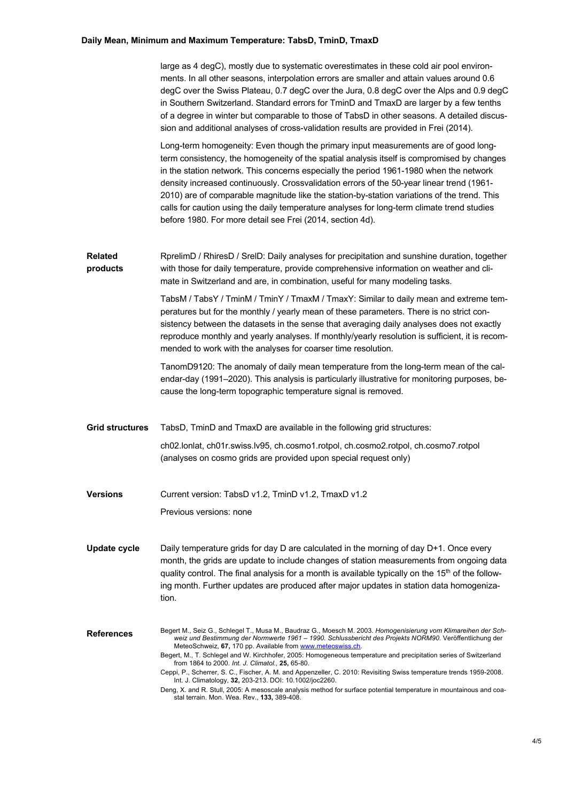### **Daily Mean, Minimum and Maximum Temperature: TabsD, TminD, TmaxD**

|                            | large as 4 degC), mostly due to systematic overestimates in these cold air pool environ-<br>ments. In all other seasons, interpolation errors are smaller and attain values around 0.6<br>degC over the Swiss Plateau, 0.7 degC over the Jura, 0.8 degC over the Alps and 0.9 degC<br>in Southern Switzerland. Standard errors for TminD and TmaxD are larger by a few tenths<br>of a degree in winter but comparable to those of TabsD in other seasons. A detailed discus-<br>sion and additional analyses of cross-validation results are provided in Frei (2014).                                                                                                                                                                                                                                                   |
|----------------------------|-------------------------------------------------------------------------------------------------------------------------------------------------------------------------------------------------------------------------------------------------------------------------------------------------------------------------------------------------------------------------------------------------------------------------------------------------------------------------------------------------------------------------------------------------------------------------------------------------------------------------------------------------------------------------------------------------------------------------------------------------------------------------------------------------------------------------|
|                            | Long-term homogeneity: Even though the primary input measurements are of good long-<br>term consistency, the homogeneity of the spatial analysis itself is compromised by changes<br>in the station network. This concerns especially the period 1961-1980 when the network<br>density increased continuously. Crossvalidation errors of the 50-year linear trend (1961-<br>2010) are of comparable magnitude like the station-by-station variations of the trend. This<br>calls for caution using the daily temperature analyses for long-term climate trend studies<br>before 1980. For more detail see Frei (2014, section 4d).                                                                                                                                                                                      |
| <b>Related</b><br>products | RprelimD / RhiresD / SrelD: Daily analyses for precipitation and sunshine duration, together<br>with those for daily temperature, provide comprehensive information on weather and cli-<br>mate in Switzerland and are, in combination, useful for many modeling tasks.                                                                                                                                                                                                                                                                                                                                                                                                                                                                                                                                                 |
|                            | TabsM / TabsY / TminM / TminY / TmaxM / TmaxY: Similar to daily mean and extreme tem-<br>peratures but for the monthly / yearly mean of these parameters. There is no strict con-<br>sistency between the datasets in the sense that averaging daily analyses does not exactly<br>reproduce monthly and yearly analyses. If monthly/yearly resolution is sufficient, it is recom-<br>mended to work with the analyses for coarser time resolution.                                                                                                                                                                                                                                                                                                                                                                      |
|                            | TanomD9120: The anomaly of daily mean temperature from the long-term mean of the cal-<br>endar-day (1991–2020). This analysis is particularly illustrative for monitoring purposes, be-<br>cause the long-term topographic temperature signal is removed.                                                                                                                                                                                                                                                                                                                                                                                                                                                                                                                                                               |
| <b>Grid structures</b>     | TabsD, TminD and TmaxD are available in the following grid structures:                                                                                                                                                                                                                                                                                                                                                                                                                                                                                                                                                                                                                                                                                                                                                  |
|                            | ch02.lonlat, ch01r.swiss.lv95, ch.cosmo1.rotpol, ch.cosmo2.rotpol, ch.cosmo7.rotpol<br>(analyses on cosmo grids are provided upon special request only)                                                                                                                                                                                                                                                                                                                                                                                                                                                                                                                                                                                                                                                                 |
| <b>Versions</b>            | Current version: TabsD v1.2, TminD v1.2, TmaxD v1.2                                                                                                                                                                                                                                                                                                                                                                                                                                                                                                                                                                                                                                                                                                                                                                     |
|                            | Previous versions: none                                                                                                                                                                                                                                                                                                                                                                                                                                                                                                                                                                                                                                                                                                                                                                                                 |
| <b>Update cycle</b>        | Daily temperature grids for day D are calculated in the morning of day D+1. Once every<br>month, the grids are update to include changes of station measurements from ongoing data<br>quality control. The final analysis for a month is available typically on the $15th$ of the follow-<br>ing month. Further updates are produced after major updates in station data homogeniza-<br>tion.                                                                                                                                                                                                                                                                                                                                                                                                                           |
| <b>References</b>          | Begert M., Seiz G., Schlegel T., Musa M., Baudraz G., Moesch M. 2003. Homogenisierung vom Klimareihen der Sch-<br>weiz und Bestimmung der Normwerte 1961 – 1990. Schlussbericht des Projekts NORM90. Veröffentlichung der<br>MeteoSchweiz, 67, 170 pp. Available from www.meteoswiss.ch.<br>Begert, M., T. Schlegel and W. Kirchhofer, 2005: Homogeneous temperature and precipitation series of Switzerland<br>from 1864 to 2000. Int. J. Climatol., 25, 65-80.<br>Ceppi, P., Scherrer, S. C., Fischer, A. M. and Appenzeller, C. 2010: Revisiting Swiss temperature trends 1959-2008.<br>Int. J. Climatology, 32, 203-213. DOI: 10.1002/joc2260.<br>Deng, X. and R. Stull, 2005: A mesoscale analysis method for surface potential temperature in mountainous and coa-<br>stal terrain. Mon. Wea. Rev., 133, 389-408. |